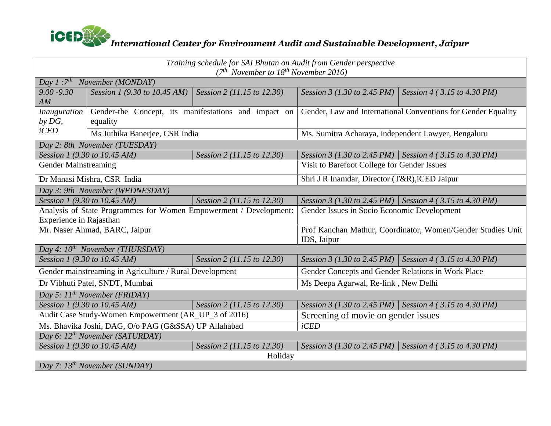

| Training schedule for SAI Bhutan on Audit from Gender perspective<br>$(7th November to 18th November 2016)$ |                                                                   |                            |                                                                            |                                                           |  |  |  |  |
|-------------------------------------------------------------------------------------------------------------|-------------------------------------------------------------------|----------------------------|----------------------------------------------------------------------------|-----------------------------------------------------------|--|--|--|--|
| Day $I:7^{th}$<br>November (MONDAY)                                                                         |                                                                   |                            |                                                                            |                                                           |  |  |  |  |
| $9.00 - 9.30$                                                                                               | Session 1 (9.30 to 10.45 AM)                                      | Session 2 (11.15 to 12.30) | Session 3 (1.30 to 2.45 PM)                                                | Session 4 (3.15 to 4.30 PM)                               |  |  |  |  |
| AM                                                                                                          |                                                                   |                            |                                                                            |                                                           |  |  |  |  |
| Inauguration                                                                                                | Gender-the Concept, its manifestations and impact on              |                            | Gender, Law and International Conventions for Gender Equality              |                                                           |  |  |  |  |
| $by$ $DG$ ,<br>$i$ CED                                                                                      | equality                                                          |                            |                                                                            |                                                           |  |  |  |  |
|                                                                                                             | Ms Juthika Banerjee, CSR India                                    |                            | Ms. Sumitra Acharaya, independent Lawyer, Bengaluru                        |                                                           |  |  |  |  |
| Day 2: 8th November (TUESDAY)                                                                               |                                                                   |                            |                                                                            |                                                           |  |  |  |  |
| Session 1 (9.30 to 10.45 AM)                                                                                |                                                                   | Session 2 (11.15 to 12.30) |                                                                            | Session 3 (1.30 to 2.45 PM) Session 4 (3.15 to 4.30 PM)   |  |  |  |  |
| <b>Gender Mainstreaming</b>                                                                                 |                                                                   |                            | Visit to Barefoot College for Gender Issues                                |                                                           |  |  |  |  |
| Dr Manasi Mishra, CSR India                                                                                 |                                                                   |                            | Shri J R Inamdar, Director (T&R), iCED Jaipur                              |                                                           |  |  |  |  |
| Day 3: 9th November (WEDNESDAY)                                                                             |                                                                   |                            |                                                                            |                                                           |  |  |  |  |
| Session 1 (9.30 to 10.45 AM)<br>Session 2 (11.15 to 12.30)                                                  |                                                                   |                            |                                                                            | Session 3 (1.30 to 2.45 PM)   Session 4 (3.15 to 4.30 PM) |  |  |  |  |
|                                                                                                             | Analysis of State Programmes for Women Empowerment / Development: |                            | Gender Issues in Socio Economic Development                                |                                                           |  |  |  |  |
| Experience in Rajasthan                                                                                     |                                                                   |                            |                                                                            |                                                           |  |  |  |  |
| Mr. Naser Ahmad, BARC, Jaipur                                                                               |                                                                   |                            | Prof Kanchan Mathur, Coordinator, Women/Gender Studies Unit<br>IDS, Jaipur |                                                           |  |  |  |  |
| Day 4: $10^{th}$ November (THURSDAY)                                                                        |                                                                   |                            |                                                                            |                                                           |  |  |  |  |
| Session 1 (9.30 to 10.45 AM)                                                                                |                                                                   | Session 2 (11.15 to 12.30) |                                                                            | Session 3 (1.30 to 2.45 PM)   Session 4 (3.15 to 4.30 PM) |  |  |  |  |
|                                                                                                             | Gender mainstreaming in Agriculture / Rural Development           |                            | Gender Concepts and Gender Relations in Work Place                         |                                                           |  |  |  |  |
|                                                                                                             | Dr Vibhuti Patel, SNDT, Mumbai                                    |                            | Ms Deepa Agarwal, Re-link, New Delhi                                       |                                                           |  |  |  |  |
| Day 5: $11^{th}$ November (FRIDAY)                                                                          |                                                                   |                            |                                                                            |                                                           |  |  |  |  |
|                                                                                                             | Session 1 (9.30 to 10.45 AM)                                      | Session 2 (11.15 to 12.30) |                                                                            | Session 3 (1.30 to 2.45 PM) Session 4 (3.15 to 4.30 PM)   |  |  |  |  |
| Audit Case Study-Women Empowerment (AR_UP_3 of 2016)                                                        |                                                                   |                            | Screening of movie on gender issues                                        |                                                           |  |  |  |  |
|                                                                                                             | Ms. Bhavika Joshi, DAG, O/o PAG (G&SSA) UP Allahabad              |                            | $i$ CED                                                                    |                                                           |  |  |  |  |
| Day 6: 12 <sup>th</sup> November (SATURDAY)                                                                 |                                                                   |                            |                                                                            |                                                           |  |  |  |  |
|                                                                                                             | Session 1 (9.30 to 10.45 AM)                                      | Session 2 (11.15 to 12.30) | Session 3 (1.30 to 2.45 PM)                                                | Session 4 (3.15 to 4.30 PM)                               |  |  |  |  |
| Holiday                                                                                                     |                                                                   |                            |                                                                            |                                                           |  |  |  |  |
|                                                                                                             | Day 7: $13^{th}$ November (SUNDAY)                                |                            |                                                                            |                                                           |  |  |  |  |